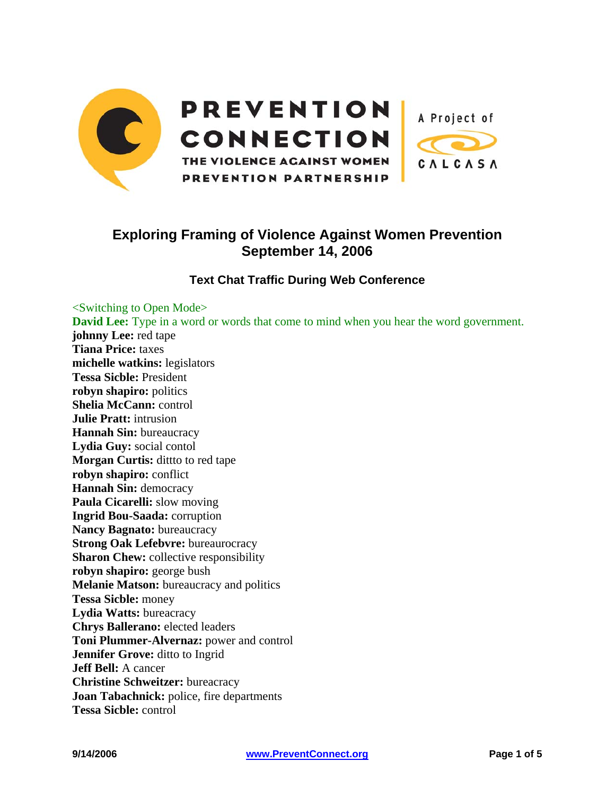| <b>PREVENTION</b>             | A Project of |
|-------------------------------|--------------|
| <b>CONNECTION</b>             |              |
| THE VIOLENCE AGAINST WOMEN    | CALCASA      |
| <b>PREVENTION PARTNERSHIP</b> |              |

## **Exploring Framing of Violence Against Women Prevention September 14, 2006**

## **Text Chat Traffic During Web Conference**

<Switching to Open Mode> **David Lee:** Type in a word or words that come to mind when you hear the word government. **johnny Lee:** red tape **Tiana Price:** taxes **michelle watkins:** legislators **Tessa Sicble:** President **robyn shapiro:** politics **Shelia McCann:** control **Julie Pratt:** intrusion **Hannah Sin:** bureaucracy **Lydia Guy:** social contol **Morgan Curtis:** ditto to red tape **robyn shapiro:** conflict **Hannah Sin:** democracy **Paula Cicarelli:** slow moving **Ingrid Bou-Saada:** corruption **Nancy Bagnato:** bureaucracy **Strong Oak Lefebvre:** bureaurocracy **Sharon Chew:** collective responsibility **robyn shapiro:** george bush **Melanie Matson:** bureaucracy and politics **Tessa Sicble:** money **Lydia Watts:** bureacracy **Chrys Ballerano:** elected leaders **Toni Plummer-Alvernaz:** power and control **Jennifer Grove:** ditto to Ingrid **Jeff Bell:** A cancer **Christine Schweitzer:** bureacracy **Joan Tabachnick:** police, fire departments **Tessa Sicble:** control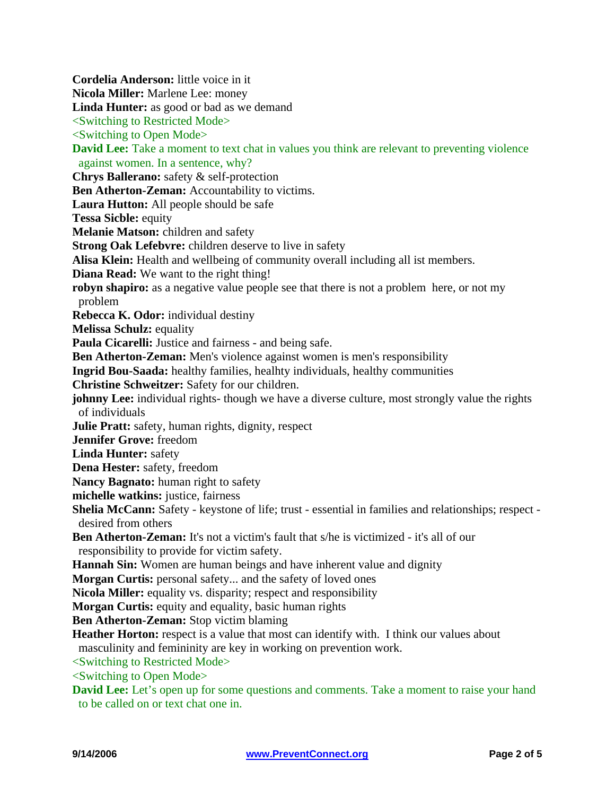**Cordelia Anderson:** little voice in it **Nicola Miller:** Marlene Lee: money Linda Hunter: as good or bad as we demand <Switching to Restricted Mode> <Switching to Open Mode> **David Lee:** Take a moment to text chat in values you think are relevant to preventing violence against women. In a sentence, why? **Chrys Ballerano:** safety & self-protection **Ben Atherton-Zeman:** Accountability to victims. **Laura Hutton:** All people should be safe **Tessa Sicble:** equity **Melanie Matson:** children and safety **Strong Oak Lefebvre:** children deserve to live in safety **Alisa Klein:** Health and wellbeing of community overall including all ist members. **Diana Read:** We want to the right thing! **robyn shapiro:** as a negative value people see that there is not a problem here, or not my problem **Rebecca K. Odor:** individual destiny **Melissa Schulz:** equality Paula Cicarelli: Justice and fairness - and being safe. **Ben Atherton-Zeman:** Men's violence against women is men's responsibility **Ingrid Bou-Saada:** healthy families, healhty individuals, healthy communities **Christine Schweitzer:** Safety for our children. **johnny Lee:** individual rights-though we have a diverse culture, most strongly value the rights of individuals **Julie Pratt:** safety, human rights, dignity, respect **Jennifer Grove:** freedom **Linda Hunter:** safety **Dena Hester:** safety, freedom **Nancy Bagnato:** human right to safety **michelle watkins:** justice, fairness **Shelia McCann:** Safety - keystone of life; trust - essential in families and relationships; respect desired from others **Ben Atherton-Zeman:** It's not a victim's fault that s/he is victimized - it's all of our responsibility to provide for victim safety. **Hannah Sin:** Women are human beings and have inherent value and dignity **Morgan Curtis:** personal safety... and the safety of loved ones **Nicola Miller:** equality vs. disparity; respect and responsibility **Morgan Curtis:** equity and equality, basic human rights **Ben Atherton-Zeman:** Stop victim blaming **Heather Horton:** respect is a value that most can identify with. I think our values about masculinity and femininity are key in working on prevention work. <Switching to Restricted Mode>  $\le$ Switching to Open Mode $>$ **David Lee:** Let's open up for some questions and comments. Take a moment to raise your hand to be called on or text chat one in.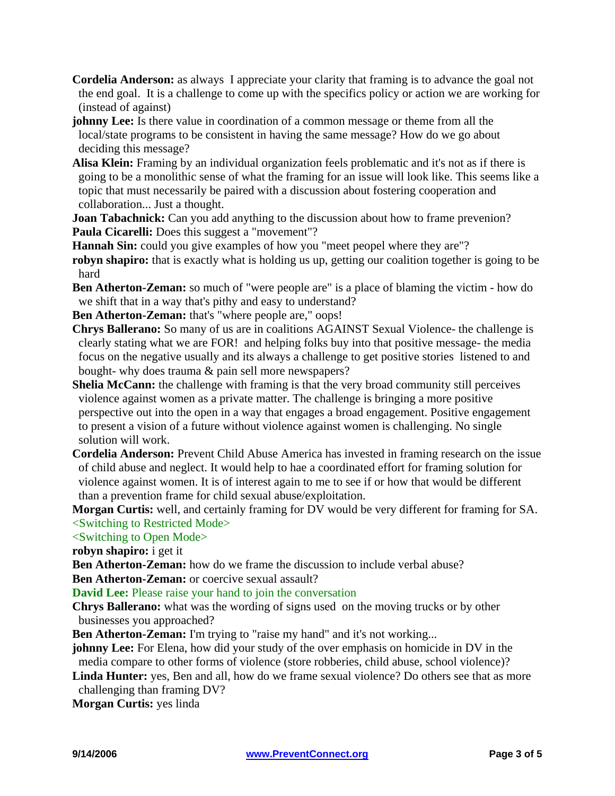- **Cordelia Anderson:** as always I appreciate your clarity that framing is to advance the goal not the end goal. It is a challenge to come up with the specifics policy or action we are working for (instead of against)
- **johnny Lee:** Is there value in coordination of a common message or theme from all the local/state programs to be consistent in having the same message? How do we go about deciding this message?
- **Alisa Klein:** Framing by an individual organization feels problematic and it's not as if there is going to be a monolithic sense of what the framing for an issue will look like. This seems like a topic that must necessarily be paired with a discussion about fostering cooperation and collaboration... Just a thought.
- **Joan Tabachnick:** Can you add anything to the discussion about how to frame prevenion? Paula Cicarelli: Does this suggest a "movement"?
- **Hannah Sin:** could you give examples of how you "meet peopel where they are"?
- **robyn shapiro:** that is exactly what is holding us up, getting our coalition together is going to be hard
- **Ben Atherton-Zeman:** so much of "were people are" is a place of blaming the victim how do we shift that in a way that's pithy and easy to understand?
- **Ben Atherton-Zeman:** that's "where people are," oops!
- **Chrys Ballerano:** So many of us are in coalitions AGAINST Sexual Violence- the challenge is clearly stating what we are FOR! and helping folks buy into that positive message- the media focus on the negative usually and its always a challenge to get positive stories listened to and bought- why does trauma & pain sell more newspapers?
- **Shelia McCann:** the challenge with framing is that the very broad community still perceives violence against women as a private matter. The challenge is bringing a more positive perspective out into the open in a way that engages a broad engagement. Positive engagement to present a vision of a future without violence against women is challenging. No single solution will work.
- **Cordelia Anderson:** Prevent Child Abuse America has invested in framing research on the issue of child abuse and neglect. It would help to hae a coordinated effort for framing solution for violence against women. It is of interest again to me to see if or how that would be different than a prevention frame for child sexual abuse/exploitation.
- **Morgan Curtis:** well, and certainly framing for DV would be very different for framing for SA. <Switching to Restricted Mode>

## <Switching to Open Mode>

- **robyn shapiro:** i get it
- **Ben Atherton-Zeman:** how do we frame the discussion to include verbal abuse?
- **Ben Atherton-Zeman:** or coercive sexual assault?

## **David Lee:** Please raise your hand to join the conversation

- **Chrys Ballerano:** what was the wording of signs used on the moving trucks or by other businesses you approached?
- **Ben Atherton-Zeman:** I'm trying to "raise my hand" and it's not working...
- **johnny Lee:** For Elena, how did your study of the over emphasis on homicide in DV in the media compare to other forms of violence (store robberies, child abuse, school violence)?
- Linda Hunter: yes, Ben and all, how do we frame sexual violence? Do others see that as more challenging than framing DV?

**Morgan Curtis:** yes linda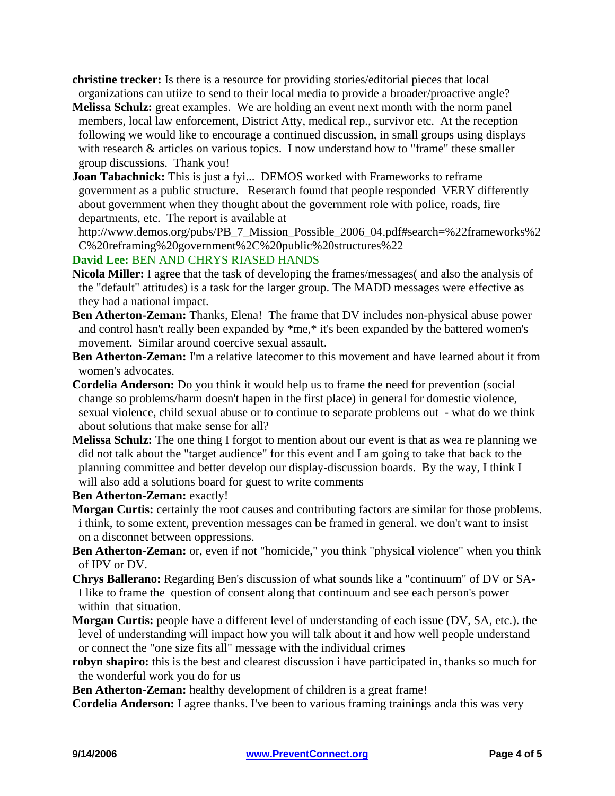**christine trecker:** Is there is a resource for providing stories/editorial pieces that local organizations can utiize to send to their local media to provide a broader/proactive angle?

- **Melissa Schulz:** great examples. We are holding an event next month with the norm panel members, local law enforcement, District Atty, medical rep., survivor etc. At the reception following we would like to encourage a continued discussion, in small groups using displays with research & articles on various topics. I now understand how to "frame" these smaller group discussions. Thank you!
- **Joan Tabachnick:** This is just a fyi... DEMOS worked with Frameworks to reframe government as a public structure. Reserarch found that people responded VERY differently about government when they thought about the government role with police, roads, fire departments, etc. The report is available at

http://www.demos.org/pubs/PB\_7\_Mission\_Possible\_2006\_04.pdf#search=%22frameworks%2 C%20reframing%20government%2C%20public%20structures%22

**David Lee:** BEN AND CHRYS RIASED HANDS

- **Nicola Miller:** I agree that the task of developing the frames/messages( and also the analysis of the "default" attitudes) is a task for the larger group. The MADD messages were effective as they had a national impact.
- **Ben Atherton-Zeman:** Thanks, Elena! The frame that DV includes non-physical abuse power and control hasn't really been expanded by \*me,\* it's been expanded by the battered women's movement. Similar around coercive sexual assault.
- **Ben Atherton-Zeman:** I'm a relative latecomer to this movement and have learned about it from women's advocates.
- **Cordelia Anderson:** Do you think it would help us to frame the need for prevention (social change so problems/harm doesn't hapen in the first place) in general for domestic violence, sexual violence, child sexual abuse or to continue to separate problems out - what do we think about solutions that make sense for all?
- **Melissa Schulz:** The one thing I forgot to mention about our event is that as wea re planning we did not talk about the "target audience" for this event and I am going to take that back to the planning committee and better develop our display-discussion boards. By the way, I think I will also add a solutions board for guest to write comments

**Ben Atherton-Zeman: exactly!** 

- **Morgan Curtis:** certainly the root causes and contributing factors are similar for those problems. i think, to some extent, prevention messages can be framed in general. we don't want to insist on a disconnet between oppressions.
- **Ben Atherton-Zeman:** or, even if not "homicide," you think "physical violence" when you think of IPV or DV.
- **Chrys Ballerano:** Regarding Ben's discussion of what sounds like a "continuum" of DV or SA-I like to frame the question of consent along that continuum and see each person's power within that situation.
- **Morgan Curtis:** people have a different level of understanding of each issue (DV, SA, etc.). the level of understanding will impact how you will talk about it and how well people understand or connect the "one size fits all" message with the individual crimes
- **robyn shapiro:** this is the best and clearest discussion i have participated in, thanks so much for the wonderful work you do for us
- **Ben Atherton-Zeman:** healthy development of children is a great frame!
- **Cordelia Anderson:** I agree thanks. I've been to various framing trainings anda this was very